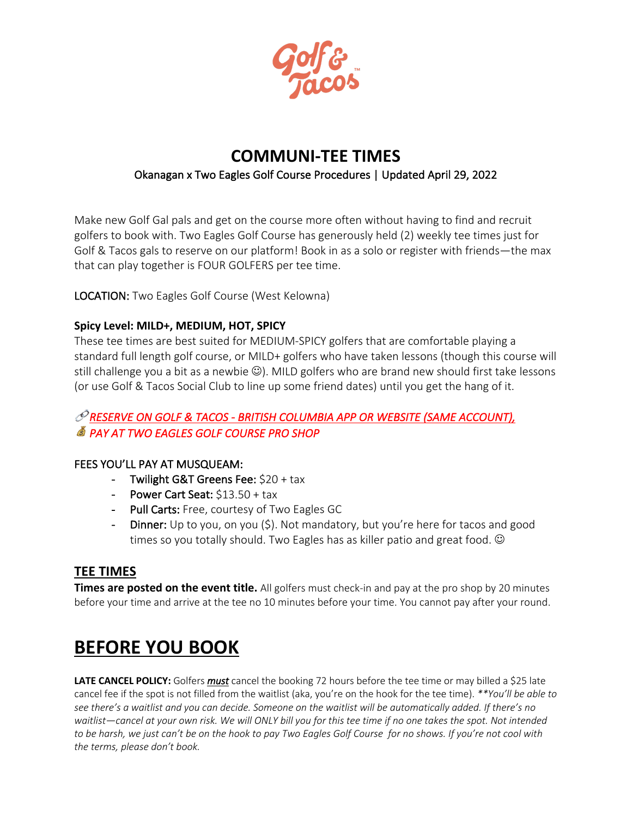

# **COMMUNI-TEE TIMES**

## Okanagan x Two Eagles Golf Course Procedures | Updated April 29, 2022

Make new Golf Gal pals and get on the course more often without having to find and recruit golfers to book with. Two Eagles Golf Course has generously held (2) weekly tee times just for Golf & Tacos gals to reserve on our platform! Book in as a solo or register with friends—the max that can play together is FOUR GOLFERS per tee time.

LOCATION: Two Eagles Golf Course (West Kelowna)

### **Spicy Level: MILD+, MEDIUM, HOT, SPICY**

These tee times are best suited for MEDIUM-SPICY golfers that are comfortable playing a standard full length golf course, or MILD+ golfers who have taken lessons (though this course will still challenge you a bit as a newbie  $\mathbb{G}$ ). MILD golfers who are brand new should first take lessons (or use Golf & Tacos Social Club to line up some friend dates) until you get the hang of it.

# *RESERVE ON GOLF & TACOS - BRITISH COLUMBIA APP OR WEBSITE (SAME ACCOUNT), PAY AT TWO EAGLES GOLF COURSE PRO SHOP*

### FEES YOU'LL PAY AT MUSQUEAM:

- Twilight G&T Greens Fee: \$20 + tax
- Power Cart Seat: \$13.50 + tax
- Pull Carts: Free, courtesy of Two Eagles GC
- Dinner: Up to you, on you (\$). Not mandatory, but you're here for tacos and good times so you totally should. Two Eagles has as killer patio and great food.  $\odot$

### **TEE TIMES**

**Times are posted on the event title.** All golfers must check-in and pay at the pro shop by 20 minutes before your time and arrive at the tee no 10 minutes before your time. You cannot pay after your round.

## **BEFORE YOU BOOK**

**LATE CANCEL POLICY:** Golfers *must* cancel the booking 72 hours before the tee time or may billed a \$25 late cancel fee if the spot is not filled from the waitlist (aka, you're on the hook for the tee time). *\*\*You'll be able to see there's a waitlist and you can decide. Someone on the waitlist will be automatically added. If there's no waitlist—cancel at your own risk. We will ONLY bill you for this tee time if no one takes the spot. Not intended to be harsh, we just can't be on the hook to pay Two Eagles Golf Course for no shows. If you're not cool with the terms, please don't book.*